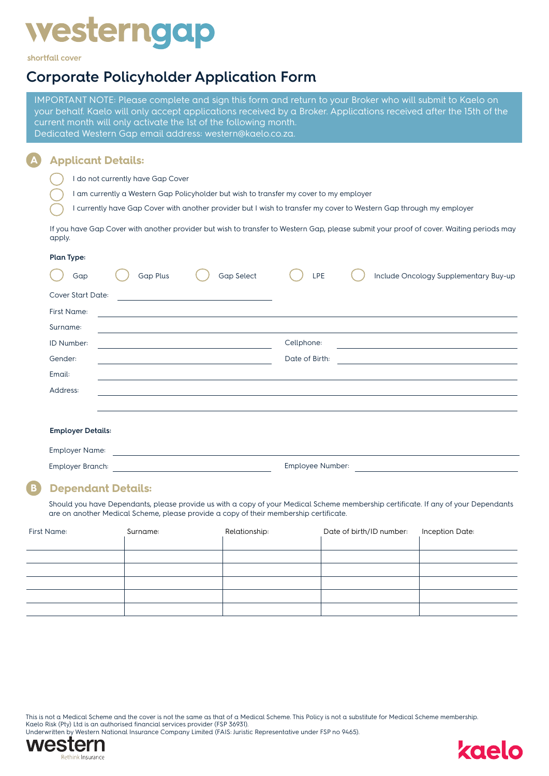# **westerngap**

shortfall cover

# **Corporate Policyholder Application Form**

IMPORTANT NOTE: Please complete and sign this form and return to your Broker who will submit to Kaelo on your behalf. Kaelo will only accept applications received by a Broker. Applications received after the 15th of the current month will only activate the 1st of the following month. Dedicated Western Gap email address: western@kaelo.co.za.

#### **A Applicant Details:**

- I do not currently have Gap Cover
- I am currently a Western Gap Policyholder but wish to transfer my cover to my employer
- I currently have Gap Cover with another provider but I wish to transfer my cover to Western Gap through my employer

If you have Gap Cover with another provider but wish to transfer to Western Gap, please submit your proof of cover. Waiting periods may apply.

#### **Plan Type:**

| Gap                      | <b>Gap Plus</b> | <b>Gap Select</b>                                                                                                                                                                                                             | LPE            | Include Oncology Supplementary Buy-up              |
|--------------------------|-----------------|-------------------------------------------------------------------------------------------------------------------------------------------------------------------------------------------------------------------------------|----------------|----------------------------------------------------|
| <b>Cover Start Date:</b> |                 |                                                                                                                                                                                                                               |                |                                                    |
| <b>First Name:</b>       |                 | the control of the control of the control of the control of the control of the control of the control of the control of the control of the control of the control of the control of the control of the control of the control |                |                                                    |
| Surname:                 |                 | <u> 1989 - Andrea San Andrea San Andrea San Andrea San Andrea San Andrea San Andrea San Andrea San Andrea San Andr</u>                                                                                                        |                |                                                    |
| ID Number:               |                 |                                                                                                                                                                                                                               | Cellphone:     |                                                    |
| Gender:                  |                 |                                                                                                                                                                                                                               | Date of Birth: | <u> 1980 - Johann Barn, amerikansk politiker (</u> |
| Email:                   |                 |                                                                                                                                                                                                                               |                |                                                    |
| Address:                 |                 |                                                                                                                                                                                                                               |                |                                                    |
|                          |                 |                                                                                                                                                                                                                               |                |                                                    |
|                          |                 |                                                                                                                                                                                                                               |                |                                                    |
| <b>Employer Details:</b> |                 |                                                                                                                                                                                                                               |                |                                                    |
| <b>Employer Name:</b>    |                 |                                                                                                                                                                                                                               |                |                                                    |
| <b>Employer Branch:</b>  |                 | Employee Number:                                                                                                                                                                                                              |                |                                                    |

# **B Dependant Details:**

Should you have Dependants, please provide us with a copy of your Medical Scheme membership certificate. If any of your Dependants are on another Medical Scheme, please provide a copy of their membership certificate.

| <b>First Name:</b> | Surname: | Relationship: | Date of birth/ID number: | Inception Date: |
|--------------------|----------|---------------|--------------------------|-----------------|
|                    |          |               |                          |                 |
|                    |          |               |                          |                 |
|                    |          |               |                          |                 |
|                    |          |               |                          |                 |
|                    |          |               |                          |                 |
|                    |          |               |                          |                 |

This is not a Medical Scheme and the cover is not the same as that of a Medical Scheme. This Policy is not a substitute for Medical Scheme membership. Kaelo Risk (Pty) Ltd is an authorised financial services provider (FSP 36931).





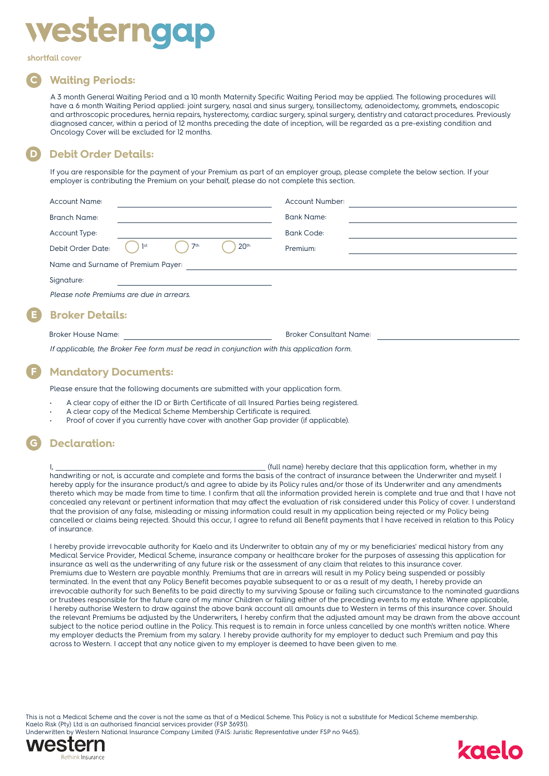

shortfall cover

# **C Waiting Periods:**

A 3 month General Waiting Period and a 10 month Maternity Specific Waiting Period may be applied. The following procedures will have a 6 month Waiting Period applied: joint surgery, nasal and sinus surgery, tonsillectomy, adenoidectomy, grommets, endoscopic and arthroscopic procedures, hernia repairs, hysterectomy, cardiac surgery, spinal surgery, dentistry and cataract procedures. Previously diagnosed cancer, within a period of 12 months preceding the date of inception, will be regarded as a pre-existing condition and Oncology Cover will be excluded for 12 months.

# **D Debit Order Details:**

If you are responsible for the payment of your Premium as part of an employer group, please complete the below section. If your employer is contributing the Premium on your behalf, please do not complete this section.

| <b>Account Name:</b>                     |     |                 |                  | Account Number:                                                                          |  |
|------------------------------------------|-----|-----------------|------------------|------------------------------------------------------------------------------------------|--|
| <b>Branch Name:</b>                      |     |                 |                  | <b>Bank Name:</b>                                                                        |  |
| <b>Account Type:</b>                     |     |                 |                  | <b>Bank Code:</b>                                                                        |  |
| Debit Order Date:                        | 1st | 7 <sup>th</sup> | 20 <sup>th</sup> | Premium:                                                                                 |  |
| Name and Surname of Premium Payer:       |     |                 |                  |                                                                                          |  |
| Signature:                               |     |                 |                  |                                                                                          |  |
| Please note Premiums are due in arrears. |     |                 |                  |                                                                                          |  |
| <b>Broker Details:</b>                   |     |                 |                  |                                                                                          |  |
| <b>Broker House Name:</b>                |     |                 |                  | <b>Broker Consultant Name:</b>                                                           |  |
|                                          |     |                 |                  | If applicable the Proker Eas form must be read in conjunction with this application form |  |

*If applicable, the Broker Fee form must be read in conjunction with this application form.*

## **F Mandatory Documents:**

Please ensure that the following documents are submitted with your application form.

- A clear copy of either the ID or Birth Certificate of all Insured Parties being registered.
- A clear copy of the Medical Scheme Membership Certificate is required.
- Proof of cover if you currently have cover with another Gap provider (if applicable).

# **G Declaration:**

I, \_\_\_\_\_\_\_\_\_\_\_\_\_\_\_\_\_\_\_\_\_\_\_\_\_\_\_\_\_\_\_\_\_\_\_\_\_\_\_\_\_\_\_\_\_\_\_\_\_\_\_\_\_\_\_\_\_\_\_\_\_\_\_\_\_\_\_\_\_\_\_\_\_\_\_\_\_\_\_\_\_\_\_\_\_\_\_\_\_ (full name) hereby declare that this application form, whether in my handwriting or not, is accurate and complete and forms the basis of the contract of insurance between the Underwriter and myself. I hereby apply for the insurance product/s and agree to abide by its Policy rules and/or those of its Underwriter and any amendments thereto which may be made from time to time. I confirm that all the information provided herein is complete and true and that I have not concealed any relevant or pertinent information that may affect the evaluation of risk considered under this Policy of cover. I understand that the provision of any false, misleading or missing information could result in my application being rejected or my Policy being cancelled or claims being rejected. Should this occur, I agree to refund all Benefit payments that I have received in relation to this Policy of insurance.

I hereby provide irrevocable authority for Kaelo and its Underwriter to obtain any of my or my beneficiaries' medical history from any Medical Service Provider, Medical Scheme, insurance company or healthcare broker for the purposes of assessing this application for insurance as well as the underwriting of any future risk or the assessment of any claim that relates to this insurance cover. Premiums due to Western are payable monthly. Premiums that are in arrears will result in my Policy being suspended or possibly terminated. In the event that any Policy Benefit becomes payable subsequent to or as a result of my death, I hereby provide an irrevocable authority for such Benefits to be paid directly to my surviving Spouse or failing such circumstance to the nominated guardians or trustees responsible for the future care of my minor Children or failing either of the preceding events to my estate. Where applicable, I hereby authorise Western to draw against the above bank account all amounts due to Western in terms of this insurance cover. Should the relevant Premiums be adjusted by the Underwriters, I hereby confirm that the adjusted amount may be drawn from the above account subject to the notice period outline in the Policy. This request is to remain in force unless cancelled by one month's written notice. Where my employer deducts the Premium from my salary. I hereby provide authority for my employer to deduct such Premium and pay this across to Western. I accept that any notice given to my employer is deemed to have been given to me.

This is not a Medical Scheme and the cover is not the same as that of a Medical Scheme. This Policy is not a substitute for Medical Scheme membership. Kaelo Risk (Pty) Ltd is an authorised financial services provider (FSP 36931). Underwritten by Western National Insurance Company Limited (FAIS: Juristic Representative under FSP no 9465).